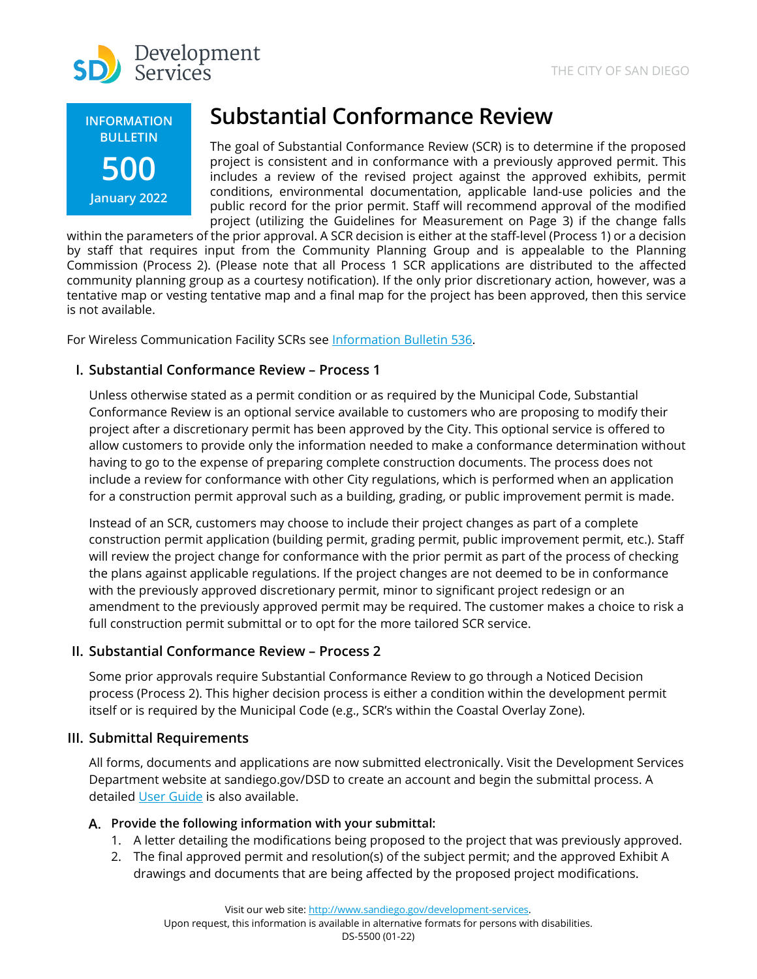



# **Substantial Conformance Review**

The goal of Substantial Conformance Review (SCR) is to determine if the proposed project is consistent and in conformance with a previously approved permit. This includes a review of the revised project against the approved exhibits, permit conditions, environmental documentation, applicable land-use policies and the public record for the prior permit. Staff will recommend approval of the modified project (utilizing the Guidelines for Measurement on Page 3) if the change falls

within the parameters of the prior approval. A SCR decision is either at the staff-level (Process 1) or a decision by staff that requires input from the Community Planning Group and is appealable to the Planning Commission (Process 2). (Please note that all Process 1 SCR applications are distributed to the affected community planning group as a courtesy notification). If the only prior discretionary action, however, was a tentative map or vesting tentative map and a final map for the project has been approved, then this service is not available.

For Wireless Communication Facility SCRs se[e Information Bulletin 536.](http://www.sandiego.gov/sites/default/files/dsdib536.pdf)

# **I. Substantial Conformance Review – Process 1**

Unless otherwise stated as a permit condition or as required by the Municipal Code, Substantial Conformance Review is an optional service available to customers who are proposing to modify their project after a discretionary permit has been approved by the City. This optional service is offered to allow customers to provide only the information needed to make a conformance determination without having to go to the expense of preparing complete construction documents. The process does not include a review for conformance with other City regulations, which is performed when an application for a construction permit approval such as a building, grading, or public improvement permit is made.

Instead of an SCR, customers may choose to include their project changes as part of a complete construction permit application (building permit, grading permit, public improvement permit, etc.). Staff will review the project change for conformance with the prior permit as part of the process of checking the plans against applicable regulations. If the project changes are not deemed to be in conformance with the previously approved discretionary permit, minor to significant project redesign or an amendment to the previously approved permit may be required. The customer makes a choice to risk a full construction permit submittal or to opt for the more tailored SCR service.

## **II. Substantial Conformance Review – Process 2**

Some prior approvals require Substantial Conformance Review to go through a Noticed Decision process (Process 2). This higher decision process is either a condition within the development permit itself or is required by the Municipal Code (e.g., SCR's within the Coastal Overlay Zone).

## **III. Submittal Requirements**

All forms, documents and applications are now submitted electronically. Visit the Development Services Department website at sandiego.gov/DSD to create an account and begin the submittal process. A detailed [User Guide](https://www.sandiego.gov/sites/default/files/opendsd-user-guide-pts-projects.pdf) is also available.

## **Provide the following information with your submittal:**

- 1. A letter detailing the modifications being proposed to the project that was previously approved.
- 2. The final approved permit and resolution(s) of the subject permit; and the approved Exhibit A drawings and documents that are being affected by the proposed project modifications.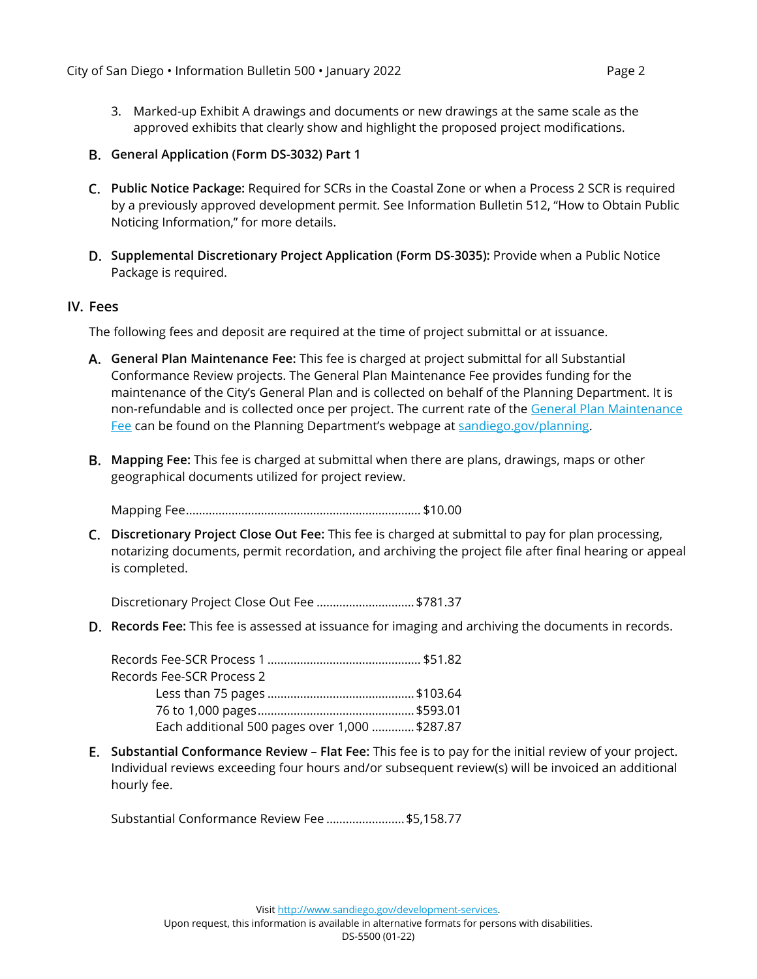- 3. Marked-up Exhibit A drawings and documents or new drawings at the same scale as the approved exhibits that clearly show and highlight the proposed project modifications.
- **General Application (Form DS-3032) Part 1**
- **Public Notice Package:** Required for SCRs in the Coastal Zone or when a Process 2 SCR is required by a previously approved development permit. See Information Bulletin 512, "How to Obtain Public Noticing Information," for more details.
- **Supplemental Discretionary Project Application (Form DS-3035):** Provide when a Public Notice Package is required.

#### **IV. Fees**

The following fees and deposit are required at the time of project submittal or at issuance.

- **General Plan Maintenance Fee:** This fee is charged at project submittal for all Substantial Conformance Review projects. The General Plan Maintenance Fee provides funding for the maintenance of the City's General Plan and is collected on behalf of the Planning Department. It is non-refundable and is collected once per project. The current rate of the [General Plan Maintenance](https://www.sandiego.gov/sites/default/files/feeschedule.pdf)  [Fee](https://www.sandiego.gov/sites/default/files/feeschedule.pdf) can be found on the Planning Department's webpage at [sandiego.gov/planning.](https://www.sandiego.gov/planning)
- **Mapping Fee:** This fee is charged at submittal when there are plans, drawings, maps or other geographical documents utilized for project review.

Mapping Fee........................................................................ \$10.00

**Discretionary Project Close Out Fee:** This fee is charged at submittal to pay for plan processing, notarizing documents, permit recordation, and archiving the project file after final hearing or appeal is completed.

Discretionary Project Close Out Fee .............................. \$781.37

**Records Fee:** This fee is assessed at issuance for imaging and archiving the documents in records.

| Records Fee-SCR Process 2                      |  |
|------------------------------------------------|--|
|                                                |  |
|                                                |  |
| Each additional 500 pages over 1,000  \$287.87 |  |

**Substantial Conformance Review – Flat Fee:** This fee is to pay for the initial review of your project. Individual reviews exceeding four hours and/or subsequent review(s) will be invoiced an additional hourly fee.

Substantial Conformance Review Fee ........................\$5,158.77

Visi[t http://www.sandiego.gov/development-services.](http://www.sandiego.gov/development-services)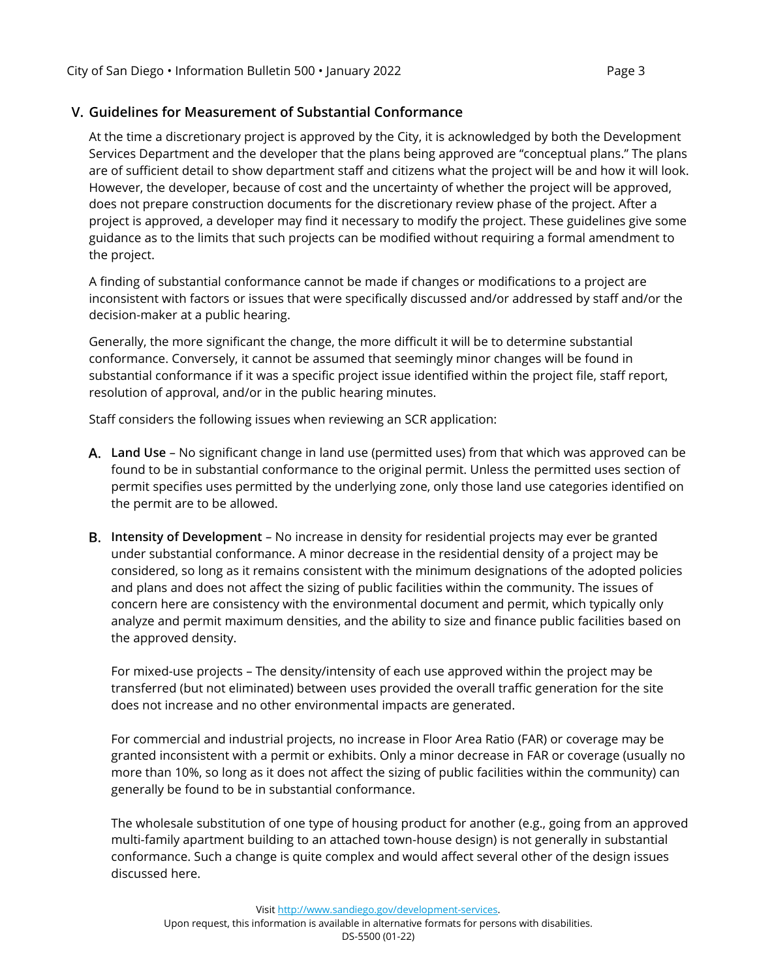# **V. Guidelines for Measurement of Substantial Conformance**

At the time a discretionary project is approved by the City, it is acknowledged by both the Development Services Department and the developer that the plans being approved are "conceptual plans." The plans are of sufficient detail to show department staff and citizens what the project will be and how it will look. However, the developer, because of cost and the uncertainty of whether the project will be approved, does not prepare construction documents for the discretionary review phase of the project. After a project is approved, a developer may find it necessary to modify the project. These guidelines give some guidance as to the limits that such projects can be modified without requiring a formal amendment to the project.

A finding of substantial conformance cannot be made if changes or modifications to a project are inconsistent with factors or issues that were specifically discussed and/or addressed by staff and/or the decision-maker at a public hearing.

Generally, the more significant the change, the more difficult it will be to determine substantial conformance. Conversely, it cannot be assumed that seemingly minor changes will be found in substantial conformance if it was a specific project issue identified within the project file, staff report, resolution of approval, and/or in the public hearing minutes.

Staff considers the following issues when reviewing an SCR application:

- **Land Use**  No significant change in land use (permitted uses) from that which was approved can be found to be in substantial conformance to the original permit. Unless the permitted uses section of permit specifies uses permitted by the underlying zone, only those land use categories identified on the permit are to be allowed.
- **Intensity of Development**  No increase in density for residential projects may ever be granted under substantial conformance. A minor decrease in the residential density of a project may be considered, so long as it remains consistent with the minimum designations of the adopted policies and plans and does not affect the sizing of public facilities within the community. The issues of concern here are consistency with the environmental document and permit, which typically only analyze and permit maximum densities, and the ability to size and finance public facilities based on the approved density.

For mixed-use projects – The density/intensity of each use approved within the project may be transferred (but not eliminated) between uses provided the overall traffic generation for the site does not increase and no other environmental impacts are generated.

For commercial and industrial projects, no increase in Floor Area Ratio (FAR) or coverage may be granted inconsistent with a permit or exhibits. Only a minor decrease in FAR or coverage (usually no more than 10%, so long as it does not affect the sizing of public facilities within the community) can generally be found to be in substantial conformance.

The wholesale substitution of one type of housing product for another (e.g., going from an approved multi-family apartment building to an attached town-house design) is not generally in substantial conformance. Such a change is quite complex and would affect several other of the design issues discussed here.

Visi[t http://www.sandiego.gov/development-services.](http://www.sandiego.gov/development-services)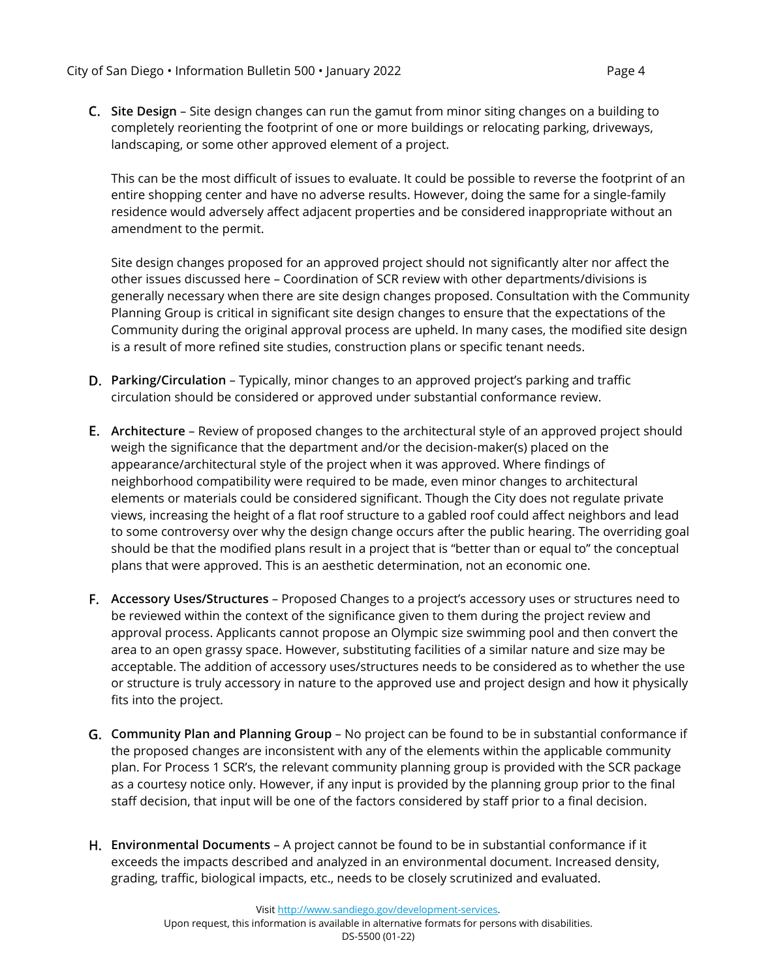**Site Design** – Site design changes can run the gamut from minor siting changes on a building to completely reorienting the footprint of one or more buildings or relocating parking, driveways, landscaping, or some other approved element of a project.

This can be the most difficult of issues to evaluate. It could be possible to reverse the footprint of an entire shopping center and have no adverse results. However, doing the same for a single-family residence would adversely affect adjacent properties and be considered inappropriate without an amendment to the permit.

Site design changes proposed for an approved project should not significantly alter nor affect the other issues discussed here – Coordination of SCR review with other departments/divisions is generally necessary when there are site design changes proposed. Consultation with the Community Planning Group is critical in significant site design changes to ensure that the expectations of the Community during the original approval process are upheld. In many cases, the modified site design is a result of more refined site studies, construction plans or specific tenant needs.

- **Parking/Circulation**  Typically, minor changes to an approved project's parking and traffic circulation should be considered or approved under substantial conformance review.
- **Architecture**  Review of proposed changes to the architectural style of an approved project should weigh the significance that the department and/or the decision-maker(s) placed on the appearance/architectural style of the project when it was approved. Where findings of neighborhood compatibility were required to be made, even minor changes to architectural elements or materials could be considered significant. Though the City does not regulate private views, increasing the height of a flat roof structure to a gabled roof could affect neighbors and lead to some controversy over why the design change occurs after the public hearing. The overriding goal should be that the modified plans result in a project that is "better than or equal to" the conceptual plans that were approved. This is an aesthetic determination, not an economic one.
- **Accessory Uses/Structures**  Proposed Changes to a project's accessory uses or structures need to be reviewed within the context of the significance given to them during the project review and approval process. Applicants cannot propose an Olympic size swimming pool and then convert the area to an open grassy space. However, substituting facilities of a similar nature and size may be acceptable. The addition of accessory uses/structures needs to be considered as to whether the use or structure is truly accessory in nature to the approved use and project design and how it physically fits into the project.
- **Community Plan and Planning Group**  No project can be found to be in substantial conformance if the proposed changes are inconsistent with any of the elements within the applicable community plan. For Process 1 SCR's, the relevant community planning group is provided with the SCR package as a courtesy notice only. However, if any input is provided by the planning group prior to the final staff decision, that input will be one of the factors considered by staff prior to a final decision.
- **Environmental Documents**  A project cannot be found to be in substantial conformance if it exceeds the impacts described and analyzed in an environmental document. Increased density, grading, traffic, biological impacts, etc., needs to be closely scrutinized and evaluated.

Visi[t http://www.sandiego.gov/development-services.](http://www.sandiego.gov/development-services)